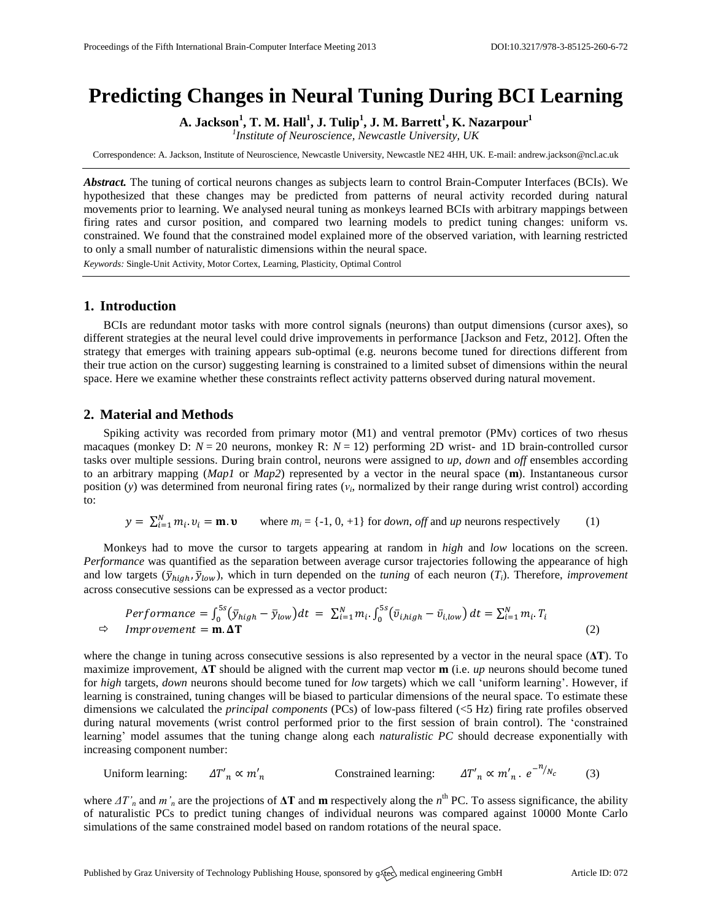# **Predicting Changes in Neural Tuning During BCI Learning**

**A. Jackson<sup>1</sup> , T. M. Hall<sup>1</sup> , J. Tulip<sup>1</sup> , J. M. Barrett<sup>1</sup> , K. Nazarpour<sup>1</sup>**

*1 Institute of Neuroscience, Newcastle University, UK*

Correspondence: A. Jackson, Institute of Neuroscience, Newcastle University, Newcastle NE2 4HH, UK. E-mail[: andrew.jackson@ncl.ac.uk](mailto:andrew.jackson@ncl.ac.uk)

*Abstract.* The tuning of cortical neurons changes as subjects learn to control Brain-Computer Interfaces (BCIs). We hypothesized that these changes may be predicted from patterns of neural activity recorded during natural movements prior to learning. We analysed neural tuning as monkeys learned BCIs with arbitrary mappings between firing rates and cursor position, and compared two learning models to predict tuning changes: uniform vs. constrained. We found that the constrained model explained more of the observed variation, with learning restricted to only a small number of naturalistic dimensions within the neural space. *Keywords:* Single-Unit Activity, Motor Cortex, Learning, Plasticity, Optimal Control

## **1. Introduction**

BCIs are redundant motor tasks with more control signals (neurons) than output dimensions (cursor axes), so different strategies at the neural level could drive improvements in performance [Jackson and Fetz, 2012]. Often the strategy that emerges with training appears sub-optimal (e.g. neurons become tuned for directions different from their true action on the cursor) suggesting learning is constrained to a limited subset of dimensions within the neural space. Here we examine whether these constraints reflect activity patterns observed during natural movement.

# **2. Material and Methods**

Spiking activity was recorded from primary motor (M1) and ventral premotor (PMv) cortices of two rhesus macaques (monkey D:  $N = 20$  neurons, monkey R:  $N = 12$ ) performing 2D wrist- and 1D brain-controlled cursor tasks over multiple sessions. During brain control, neurons were assigned to *up*, *down* and *off* ensembles according to an arbitrary mapping (*Map1* or *Map2*) represented by a vector in the neural space (**m**). Instantaneous cursor position (*y*) was determined from neuronal firing rates (*ν<sup>i</sup>* , normalized by their range during wrist control) according to:

$$
y = \sum_{i=1}^{N} m_i \cdot v_i = \mathbf{m} \cdot \mathbf{v} \qquad \text{where } m_i = \{-1, 0, +1\} \text{ for } down, \text{ off and } up \text{ neurons respectively} \tag{1}
$$

Monkeys had to move the cursor to targets appearing at random in *high* and *low* locations on the screen. *Performance* was quantified as the separation between average cursor trajectories following the appearance of high and low targets  $(\bar{y}_{hiah}, \bar{y}_{low})$ , which in turn depended on the *tuning* of each neuron  $(T_i)$ . Therefore, *improvement* across consecutive sessions can be expressed as a vector product:

$$
Performance = \int_0^{5s} (\bar{y}_{high} - \bar{y}_{low}) dt = \sum_{i=1}^{N} m_i \cdot \int_0^{5s} (\bar{v}_{i,high} - \bar{v}_{i,low}) dt = \sum_{i=1}^{N} m_i \cdot T_i
$$
  
\n
$$
\Rightarrow \quad Improvement = \mathbf{m}.\Delta \mathbf{T}
$$
 (2)

where the change in tuning across consecutive sessions is also represented by a vector in the neural space (**ΔT**). To maximize improvement, **ΔT** should be aligned with the current map vector **m** (i.e. *up* neurons should become tuned for *high* targets, *down* neurons should become tuned for *low* targets) which we call 'uniform learning'. However, if learning is constrained, tuning changes will be biased to particular dimensions of the neural space. To estimate these dimensions we calculated the *principal components* (PCs) of low-pass filtered (<5 Hz) firing rate profiles observed during natural movements (wrist control performed prior to the first session of brain control). The 'constrained learning' model assumes that the tuning change along each *naturalistic PC* should decrease exponentially with increasing component number:

Uniform learning:  $\Delta T'_n \propto m'_n$  Constrained learning:  $-\frac{n}{N}$ (3)

where  $\Delta T'$ <sup>*n*</sup> and  $m'$ <sup>*n*</sup> are the projections of  $\Delta T$  and **m** respectively along the  $n^{\text{th}}$  PC. To assess significance, the ability of naturalistic PCs to predict tuning changes of individual neurons was compared against 10000 Monte Carlo simulations of the same constrained model based on random rotations of the neural space.